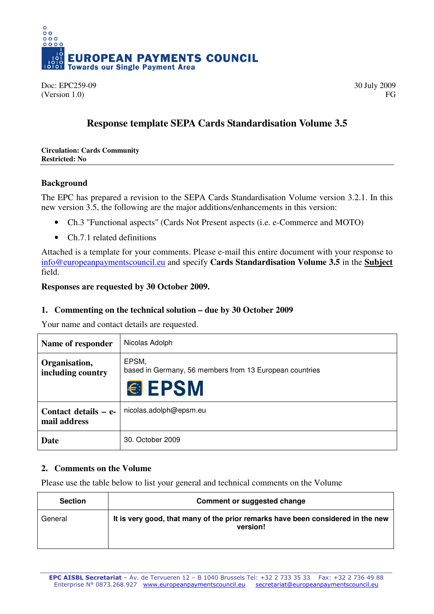

Doc: EPC259-09 30 July 2009  $(Version 1.0)$  FG

# **Response template SEPA Cards Standardisation Volume 3.5**

#### **Circulation: Cards Community Restricted: No**

# **Background**

The EPC has prepared a revision to the SEPA Cards Standardisation Volume version 3.2.1. In this new version 3.5, the following are the major additions/enhancements in this version:

- Ch.3 "Functional aspects" (Cards Not Present aspects (i.e. e-Commerce and MOTO)
- Ch.7.1 related definitions

Attached is a template for your comments. Please e-mail this entire document with your response to info@europeanpaymentscouncil.eu and specify **Cards Standardisation Volume 3.5** in the **Subject** field.

### **Responses are requested by 30 October 2009.**

## **1. Commenting on the technical solution – due by 30 October 2009**

Your name and contact details are requested.

| Name of responder                    | Nicolas Adolph                                                                    |
|--------------------------------------|-----------------------------------------------------------------------------------|
| Organisation,<br>including country   | EPSM,<br>based in Germany, 56 members from 13 European countries<br><b>€ EPSM</b> |
| Contact details – e-<br>mail address | nicolas.adolph@epsm.eu                                                            |
| Date                                 | 30. October 2009                                                                  |

# **2. Comments on the Volume**

Please use the table below to list your general and technical comments on the Volume

| <b>Section</b> | <b>Comment or suggested change</b>                                                          |
|----------------|---------------------------------------------------------------------------------------------|
| General        | It is very good, that many of the prior remarks have been considered in the new<br>version! |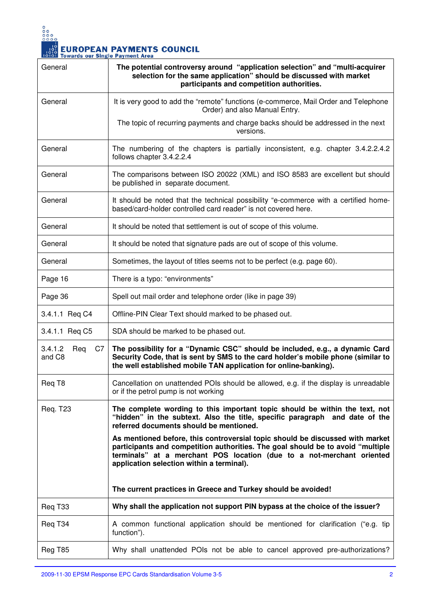

| General                        | The potential controversy around "application selection" and "multi-acquirer<br>selection for the same application" should be discussed with market<br>participants and competition authorities.                                                                                       |
|--------------------------------|----------------------------------------------------------------------------------------------------------------------------------------------------------------------------------------------------------------------------------------------------------------------------------------|
| General                        | It is very good to add the "remote" functions (e-commerce, Mail Order and Telephone<br>Order) and also Manual Entry.                                                                                                                                                                   |
|                                | The topic of recurring payments and charge backs should be addressed in the next<br>versions.                                                                                                                                                                                          |
| General                        | The numbering of the chapters is partially inconsistent, e.g. chapter 3.4.2.2.4.2<br>follows chapter 3.4.2.2.4                                                                                                                                                                         |
| General                        | The comparisons between ISO 20022 (XML) and ISO 8583 are excellent but should<br>be published in separate document.                                                                                                                                                                    |
| General                        | It should be noted that the technical possibility "e-commerce with a certified home-<br>based/card-holder controlled card reader" is not covered here.                                                                                                                                 |
| General                        | It should be noted that settlement is out of scope of this volume.                                                                                                                                                                                                                     |
| General                        | It should be noted that signature pads are out of scope of this volume.                                                                                                                                                                                                                |
| General                        | Sometimes, the layout of titles seems not to be perfect (e.g. page 60).                                                                                                                                                                                                                |
| Page 16                        | There is a typo: "environments"                                                                                                                                                                                                                                                        |
| Page 36                        | Spell out mail order and telephone order (like in page 39)                                                                                                                                                                                                                             |
| 3.4.1.1 Reg C4                 | Offline-PIN Clear Text should marked to be phased out.                                                                                                                                                                                                                                 |
| 3.4.1.1 Req C5                 | SDA should be marked to be phased out.                                                                                                                                                                                                                                                 |
| 3.4.1.2<br>Req<br>C7<br>and C8 | The possibility for a "Dynamic CSC" should be included, e.g., a dynamic Card<br>Security Code, that is sent by SMS to the card holder's mobile phone (similar to<br>the well established mobile TAN application for online-banking).                                                   |
| Reg T <sub>8</sub>             | Cancellation on unattended POIs should be allowed, e.g. if the display is unreadable<br>or if the petrol pump is not working                                                                                                                                                           |
| <b>Req. T23</b>                | The complete wording to this important topic should be within the text, not<br>"hidden" in the subtext. Also the title, specific paragraph and date of the<br>referred documents should be mentioned.                                                                                  |
|                                | As mentioned before, this controversial topic should be discussed with market<br>participants and competition authorities. The goal should be to avoid "multiple<br>terminals" at a merchant POS location (due to a not-merchant oriented<br>application selection within a terminal). |
|                                | The current practices in Greece and Turkey should be avoided!                                                                                                                                                                                                                          |
| Req T33                        | Why shall the application not support PIN bypass at the choice of the issuer?                                                                                                                                                                                                          |
| Req T34                        | A common functional application should be mentioned for clarification ("e.g. tip<br>function").                                                                                                                                                                                        |
| Reg T85                        | Why shall unattended POIs not be able to cancel approved pre-authorizations?                                                                                                                                                                                                           |